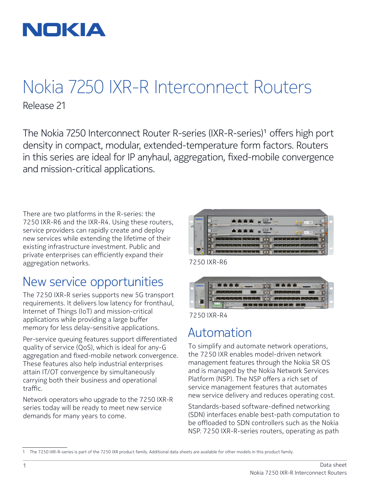

## Nokia 7250 IXR-R Interconnect Routers Release 21

The Nokia 7250 Interconnect Router R-series (IXR-R-series)<sup>1</sup> offers high port density in compact, modular, extended-temperature form factors. Routers in this series are ideal for IP anyhaul, aggregation, fixed-mobile convergence and mission-critical applications.

There are two platforms in the R-series: the 7250 IXR-R6 and the IXR-R4. Using these routers, service providers can rapidly create and deploy new services while extending the lifetime of their existing infrastructure investment. Public and private enterprises can efficiently expand their aggregation networks.

### New service opportunities

The 7250 IXR-R series supports new 5G transport requirements. It delivers low latency for fronthaul, Internet of Things (IoT) and mission-critical applications while providing a large buffer memory for less delay-sensitive applications.

Per-service queuing features support differentiated quality of service (QoS), which is ideal for any-G aggregation and fixed-mobile network convergence. These features also help industrial enterprises attain IT/OT convergence by simultaneously carrying both their business and operational traffic.

Network operators who upgrade to the 7250 IXR-R series today will be ready to meet new service demands for many years to come.



7250 IXR-R6





### Automation

To simplify and automate network operations, the 7250 IXR enables model-driven network management features through the Nokia SR OS and is managed by the Nokia Network Services Platform (NSP). The NSP offers a rich set of service management features that automates new service delivery and reduces operating cost.

Standards-based software-defined networking (SDN) interfaces enable best-path computation to be offloaded to SDN controllers such as the Nokia NSP. 7250 IXR-R-series routers, operating as path

<sup>1</sup> The 7250 IXR-R-series is part of the 7250 IXR product family. Additional data sheets are available for other models in this product family.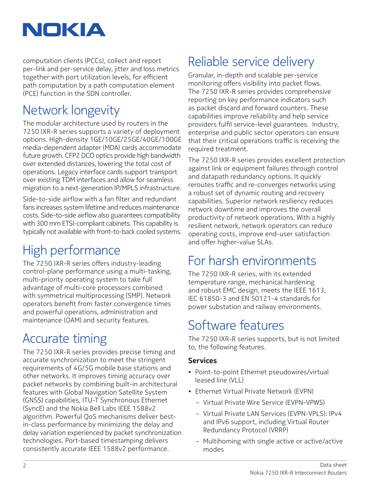

computation clients (PCCs), collect and report per-link and per-service delay, jitter and loss metrics together with port utilization levels, for efficient path computation by a path computation element (PCE) function in the SDN controller.

## Network longevity

The modular architecture used by routers in the 7250 IXR-R series supports a variety of deployment options. High-density 1GE/10GE/25GE/40GE/100GE media-dependent adapter (MDA) cards accommodate future growth. CFP2 DCO optics provide high bandwidth over extended distances, lowering the total cost of operations. Legacy interface cards support transport over existing TDM interfaces and allow for seamless migration to a next-generation IP/MPLS infrastructure.

Side-to-side airflow with a fan filter and redundant fans increases system lifetime and reduces maintenance costs. Side-to-side airflow also guarantees compatibility with 300 mm ETSI-compliant cabinets. This capability is typically not available with front-to-back cooled systems.

## High performance

The 7250 IXR-R series offers industry-leading control-plane performance using a multi-tasking, multi-priority operating system to take full advantage of multi-core processors combined with symmetrical multiprocessing (SMP). Network operators benefit from faster convergence times and powerful operations, administration and maintenance (OAM) and security features.

## Accurate timing

The 7250 IXR-R series provides precise timing and accurate synchronization to meet the stringent requirements of 4G/5G mobile base stations and other networks. It improves timing accuracy over packet networks by combining built-in architectural features with Global Navigation Satellite System (GNSS) capabilities, ITU-T Synchronous Ethernet (SyncE) and the Nokia Bell Labs IEEE 1588v2 algorithm. Powerful QoS mechanisms deliver bestin-class performance by minimizing the delay and delay variation experienced by packet synchronization technologies. Port-based timestamping delivers consistently accurate IEEE 1588v2 performance.

### Reliable service delivery

Granular, in-depth and scalable per-service monitoring offers visibility into packet flows. The 7250 IXR-R series provides comprehensive reporting on key performance indicators such as packet discard and forward counters. These capabilities improve reliability and help service providers fulfil service-level guarantees. Industry, enterprise and public sector operators can ensure that their critical operations traffic is receiving the required treatment.

The 7250 IXR-R series provides excellent protection against link or equipment failures through control and datapath redundancy options. It quickly reroutes traffic and re-converges networks using a robust set of dynamic routing and recovery capabilities. Superior network resiliency reduces network downtime and improves the overall productivity of network operations. With a highly resilient network, network operators can reduce operating costs, improve end-user satisfaction and offer higher-value SLAs.

### For harsh environments

The 7250 IXR-R series, with its extended temperature range, mechanical hardening and robust EMC design, meets the IEEE 1613, IEC 61850-3 and EN 50121-4 standards for power substation and railway environments.

### Software features

The 7250 IXR-R series supports, but is not limited to, the following features.

#### **Services**

- Point-to-point Ethernet pseudowires/virtual leased line (VLL)
- Ethernet Virtual Private Network (EVPN)
	- Virtual Private Wire Service (EVPN-VPWS)
	- Virtual Private LAN Services (EVPN-VPLS): IPv4 and IPv6 support, including Virtual Router Redundancy Protocol (VRRP)
	- Multihoming with single active or active/active modes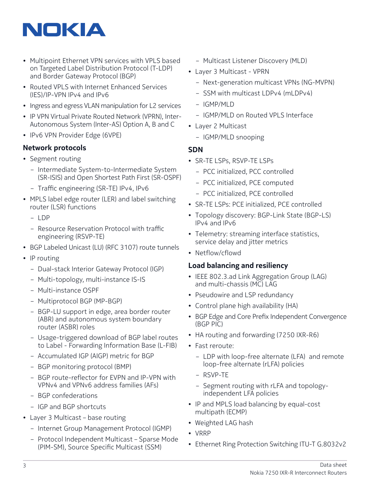# NOKIA

- Multipoint Ethernet VPN services with VPLS based on Targeted Label Distribution Protocol (T-LDP) and Border Gateway Protocol (BGP)
- Routed VPLS with Internet Enhanced Services (IES)/IP-VPN IPv4 and IPv6
- Ingress and egress VLAN manipulation for L2 services
- IP VPN Virtual Private Routed Network (VPRN), Inter-Autonomous System (Inter-AS) Option A, B and C
- IPv6 VPN Provider Edge (6VPE)

#### **Network protocols**

- Segment routing
	- Intermediate System-to-Intermediate System (SR-ISIS) and Open Shortest Path First (SR-OSPF)
	- Traffic engineering (SR-TE) IPv4, IPv6
- MPLS label edge router (LER) and label switching router (LSR) functions
	- LDP
	- Resource Reservation Protocol with traffic engineering (RSVP-TE)
- BGP Labeled Unicast (LU) (RFC 3107) route tunnels
- IP routing
	- Dual-stack Interior Gateway Protocol (IGP)
	- Multi-topology, multi-instance IS-IS
	- Multi-instance OSPF
	- Multiprotocol BGP (MP-BGP)
	- BGP-LU support in edge, area border router (ABR) and autonomous system boundary router (ASBR) roles
	- Usage-triggered download of BGP label routes to Label - Forwarding Information Base (L-FIB)
	- Accumulated IGP (AIGP) metric for BGP
	- BGP monitoring protocol (BMP)
	- BGP route-reflector for EVPN and IP-VPN with VPNv4 and VPNv6 address families (AFs)
	- BGP confederations
	- IGP and BGP shortcuts
- Layer 3 Multicast base routing
	- Internet Group Management Protocol (IGMP)
	- Protocol Independent Multicast Sparse Mode (PIM-SM), Source Specific Multicast (SSM)
- Multicast Listener Discovery (MLD)
- Layer 3 Multicast VPRN
	- Next-generation multicast VPNs (NG-MVPN)
	- SSM with multicast LDPv4 (mLDPv4)
	- IGMP/MLD
	- IGMP/MLD on Routed VPLS Interface
- Layer 2 Multicast
	- IGMP/MLD snooping

#### **SDN**

- SR-TE LSPs, RSVP-TE LSPs
	- PCC initialized, PCC controlled
	- PCC initialized, PCE computed
	- PCC initialized, PCE controlled
- SR-TE LSPs: PCE initialized, PCE controlled
- Topology discovery: BGP-Link State (BGP-LS) IPv4 and IPv6
- Telemetry: streaming interface statistics, service delay and jitter metrics
- Netflow/cflowd

#### **Load balancing and resiliency**

- IEEE 802.3.ad Link Aggregation Group (LAG) and multi-chassis (MC) LAG
- Pseudowire and LSP redundancy
- Control plane high availability (HA)
- BGP Edge and Core Prefix Independent Convergence (BGP PIC)
- HA routing and forwarding (7250 IXR-R6)
- Fast reroute:
	- LDP with loop-free alternate (LFA) and remote loop-free alternate (rLFA) policies
	- RSVP-TE
	- Segment routing with rLFA and topologyindependent LFA policies
- IP and MPLS load balancing by equal-cost multipath (ECMP)
- Weighted LAG hash
- VRRP
- Ethernet Ring Protection Switching ITU-T G.8032v2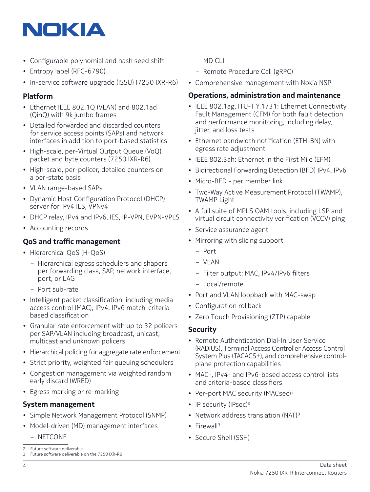# NOKIA

- Configurable polynomial and hash seed shift
- Entropy label (RFC-6790)
- In-service software upgrade (ISSU) (7250 IXR-R6)

#### **Platform**

- Ethernet IEEE 802.1Q (VLAN) and 802.1ad (QinQ) with 9k jumbo frames
- Detailed forwarded and discarded counters for service access points (SAPs) and network interfaces in addition to port-based statistics
- High-scale, per-Virtual Output Queue (VoQ) packet and byte counters (7250 IXR-R6)
- High-scale, per-policer, detailed counters on a per-state basis
- VLAN range-based SAPs
- Dynamic Host Configuration Protocol (DHCP) server for IPv4 IES, VPNv4
- DHCP relay, IPv4 and IPv6, IES, IP-VPN, EVPN-VPLS
- Accounting records

#### **QoS and traffic management**

- Hierarchical QoS (H-QoS)
	- Hierarchical egress schedulers and shapers per forwarding class, SAP, network interface, port, or LAG
	- Port sub-rate
- Intelligent packet classification, including media access control (MAC), IPv4, IPv6 match-criteriabased classification
- Granular rate enforcement with up to 32 policers per SAP/VLAN including broadcast, unicast, multicast and unknown policers
- Hierarchical policing for aggregate rate enforcement
- Strict priority, weighted fair queuing schedulers
- Congestion management via weighted random early discard (WRED)
- Egress marking or re-marking

#### **System management**

- Simple Network Management Protocol (SNMP)
- Model-driven (MD) management interfaces
	- NETCONF
- MD CLI
- Remote Procedure Call (gRPC)
- Comprehensive management with Nokia NSP

#### **Operations, administration and maintenance**

- IEEE 802.1ag, ITU-T Y.1731: Ethernet Connectivity Fault Management (CFM) for both fault detection and performance monitoring, including delay, jitter, and loss tests
- Ethernet bandwidth notification (ETH-BN) with egress rate adjustment
- IEEE 802.3ah: Ethernet in the First Mile (EFM)
- Bidirectional Forwarding Detection (BFD) IPv4, IPv6
- Micro-BFD per member link
- Two-Way Active Measurement Protocol (TWAMP), TWAMP Light
- A full suite of MPLS OAM tools, including LSP and virtual circuit connectivity verification (VCCV) ping
- Service assurance agent
- Mirroring with slicing support
	- Port
	- VLAN
	- Filter output: MAC, IPv4/IPv6 filters
	- Local/remote
- Port and VLAN loopback with MAC-swap
- Configuration rollback
- Zero Touch Provisioning (ZTP) capable

#### **Security**

- Remote Authentication Dial-In User Service (RADIUS), Terminal Access Controller Access Control System Plus (TACACS+), and comprehensive controlplane protection capabilities
- MAC-, IPv4- and IPv6-based access control lists and criteria-based classifiers
- Per-port MAC security (MACsec)<sup>2</sup>
- IP security (IPsec)<sup>2</sup>
- Network address translation (NAT)<sup>3</sup>
- Firewall<sup>3</sup>
- Secure Shell (SSH)

<sup>2</sup> Future software deliverable

<sup>3</sup> Future software deliverable on the 7250 IXR-R6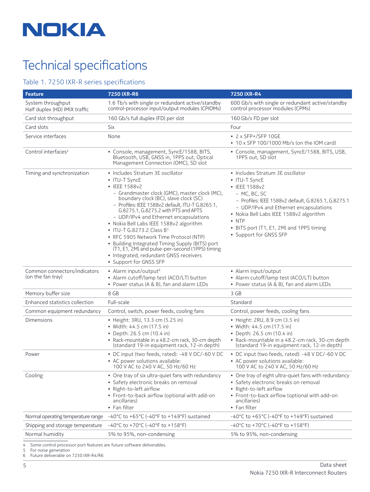

# Technical specifications

#### Table 1. 7250 IXR-R series specifications

| <b>Feature</b>                                     | <b>7250 IXR-R6</b>                                                                                                                                                                                                                                                                                                                                                                                                                                                                                                                                                                                         | <b>7250 IXR-R4</b>                                                                                                                                                                                                                                                                                                    |
|----------------------------------------------------|------------------------------------------------------------------------------------------------------------------------------------------------------------------------------------------------------------------------------------------------------------------------------------------------------------------------------------------------------------------------------------------------------------------------------------------------------------------------------------------------------------------------------------------------------------------------------------------------------------|-----------------------------------------------------------------------------------------------------------------------------------------------------------------------------------------------------------------------------------------------------------------------------------------------------------------------|
| System throughput<br>Half duplex (HD) IMIX traffic | 1.6 Tb/s with single or redundant active/standby<br>control-processor input/output modules (CPIOMs)                                                                                                                                                                                                                                                                                                                                                                                                                                                                                                        | 600 Gb/s with single or redundant active/standby<br>control processor modules (CPMs)                                                                                                                                                                                                                                  |
| Card slot throughput                               | 160 Gb/s full duplex (FD) per slot                                                                                                                                                                                                                                                                                                                                                                                                                                                                                                                                                                         | 160 Gb/s FD per slot                                                                                                                                                                                                                                                                                                  |
| Card slots                                         | Six                                                                                                                                                                                                                                                                                                                                                                                                                                                                                                                                                                                                        | Four                                                                                                                                                                                                                                                                                                                  |
| Service interfaces                                 | None                                                                                                                                                                                                                                                                                                                                                                                                                                                                                                                                                                                                       | • 2 x SFP+/SFP 10GE<br>• 10 x SFP 100/1000 Mb/s (on the IOM card)                                                                                                                                                                                                                                                     |
| Control interfaces <sup>4</sup>                    | • Console, management, SyncE/1588, BITS,<br>Bluetooth, USB, GNSS in, 1PPS out, Optical<br>Management Connection (OMC), SD slot                                                                                                                                                                                                                                                                                                                                                                                                                                                                             | • Console, management, SyncE/1588, BITS, USB,<br>1PPS out, SD slot                                                                                                                                                                                                                                                    |
| Timing and synchronization                         | • Includes Stratum 3E oscillator<br>• ITU-T SyncE<br>• IEEE 1588v2<br>- Grandmaster clock (GMC), master clock (MC),<br>boundary clock (BC), slave clock (SC)<br>- Profiles: IEEE 1588v2 default, ITU-T G.8265.1,<br>G.8275.1, G.8275.2 with PTS and APTS<br>- UDP/IPv4 and Ethernet encapsulations<br>• Nokia Bell Labs IEEE 1588v2 algorithm<br>• ITU-T G.8273.2 Class B <sup>5</sup><br>• RFC 5905 Network Time Protocol (NTP)<br>• Building Integrated Timing Supply (BITS) port<br>(T1, E1, 2M) and pulse-per-second (1PPS) timing<br>• Integrated, redundant GNSS receivers<br>• Support for GNSS SFP | • Includes Stratum 3E oscillator<br>• ITU-T SyncE<br>• IEEE 1588v2<br>- MC, BC, SC<br>- Profiles: IEEE 1588v2 default, G.8265.1, G.8275.1<br>- UDP/IPv4 and Ethernet encapsulations<br>• Nokia Bell Labs IEEE 1588v2 algorithm<br>$\bullet$ NTP<br>• BITS port (T1, E1, 2M) and 1PPS timing<br>• Support for GNSS SFP |
| Common connectors/indicators<br>(on the fan tray)  | • Alarm input/output <sup>6</sup><br>• Alarm cutoff/lamp test (ACO/LT) button<br>• Power status (A & B), fan and alarm LEDs                                                                                                                                                                                                                                                                                                                                                                                                                                                                                | • Alarm input/output<br>• Alarm cutoff/lamp test (ACO/LT) button<br>• Power status (A & B), fan and alarm LEDs                                                                                                                                                                                                        |
| Memory buffer size                                 | 8 GB                                                                                                                                                                                                                                                                                                                                                                                                                                                                                                                                                                                                       | 3 GB                                                                                                                                                                                                                                                                                                                  |
| Enhanced statistics collection                     | Full-scale                                                                                                                                                                                                                                                                                                                                                                                                                                                                                                                                                                                                 | Standard                                                                                                                                                                                                                                                                                                              |
| Common equipment redundancy                        | Control, switch, power feeds, cooling fans                                                                                                                                                                                                                                                                                                                                                                                                                                                                                                                                                                 | Control, power feeds, cooling fans                                                                                                                                                                                                                                                                                    |
| Dimensions                                         | • Height: 3RU, 13.3 cm (5.25 in)<br>• Width: 44.5 cm (17.5 in)<br>• Depth: 26.5 cm (10.4 in)<br>• Rack-mountable in a 48.2-cm rack, 30-cm depth<br>(standard 19-in equipment rack, 12-in depth)                                                                                                                                                                                                                                                                                                                                                                                                            | • Height: 2RU, 8.9 cm (3.5 in)<br>• Width: 44.5 cm (17.5 in)<br>• Depth: 26.5 cm (10.4 in)<br>• Rack-mountable in a 48.2-cm rack, 30-cm depth<br>(standard 19-in equipment rack, 12-in depth)                                                                                                                         |
| Power                                              | • DC input (two feeds, rated): -48 V DC/-60 V DC<br>• AC power solutions available:<br>100 V AC to 240 V AC, 50 Hz/60 Hz                                                                                                                                                                                                                                                                                                                                                                                                                                                                                   | • DC input (two feeds, rated): -48 V DC/-60 V DC<br>• AC power solutions available:<br>100 V AC to 240 V AC, 50 Hz/60 Hz                                                                                                                                                                                              |
| Cooling                                            | • One tray of six ultra-quiet fans with redundancy<br>• Safety electronic breaks on removal<br>• Right-to-left airflow<br>• Front-to-back airflow (optional with add-on<br>ancillaries)<br>• Fan filter                                                                                                                                                                                                                                                                                                                                                                                                    | • One tray of eight ultra-quiet fans with redundancy<br>· Safety electronic breaks on removal<br>• Right-to-left airflow<br>• Front-to-back airflow (optional with add-on<br>ancillaries)<br>• Fan filter                                                                                                             |
| Normal operating temperature range                 | $-40^{\circ}$ C to $+65^{\circ}$ C (-40°F to $+149^{\circ}$ F) sustained                                                                                                                                                                                                                                                                                                                                                                                                                                                                                                                                   | -40°C to +65°C (-40°F to +149°F) sustained                                                                                                                                                                                                                                                                            |
| Shipping and storage temperature                   | $-40^{\circ}$ C to +70 $^{\circ}$ C (-40 $^{\circ}$ F to +158 $^{\circ}$ F)                                                                                                                                                                                                                                                                                                                                                                                                                                                                                                                                | $-40^{\circ}$ C to $+70^{\circ}$ C (-40°F to $+158^{\circ}$ F)                                                                                                                                                                                                                                                        |
| Normal humidity                                    | 5% to 95%, non-condensing                                                                                                                                                                                                                                                                                                                                                                                                                                                                                                                                                                                  | 5% to 95%, non-condensing                                                                                                                                                                                                                                                                                             |

4 Some control processor port features are future software deliverables.<br>5 For noise generation

5 For noise generation<br>6 Future deliverable on Future deliverable on 7250 IXR-R4/R6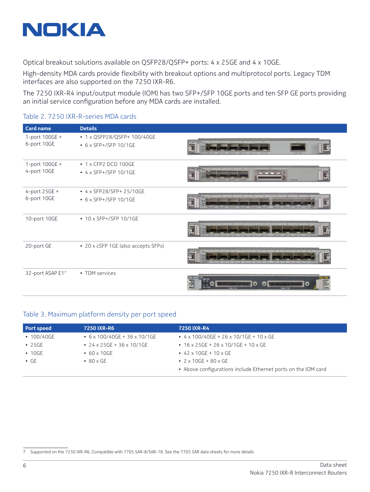

Optical breakout solutions available on QSFP28/QSFP+ ports: 4 x 25GE and 4 x 10GE.

High-density MDA cards provide flexibility with breakout options and multiprotocol ports. Legacy TDM interfaces are also supported on the 7250 IXR-R6.

The 7250 IXR-R4 input/output module (IOM) has two SFP+/SFP 10GE ports and ten SFP GE ports providing an initial service configuration before any MDA cards are installed.

#### Table 2. 7250 IXR-R-series MDA cards

| <b>Card name</b>              | <b>Details</b>                                       |                                                                                                                                                              |
|-------------------------------|------------------------------------------------------|--------------------------------------------------------------------------------------------------------------------------------------------------------------|
| 1-port 100GE +<br>6-port 10GE | • 1 x QSFP28/QSFP+ 100/40GE<br>• 6 x SFP+/SFP 10/1GE | Lnk <sup>®</sup> Act Lnk <sup>®</sup> Act<br>nk <sup>23</sup> Act<br>Unk <sup>®</sup> Act    Lnk <sup>®</sup> Act    Lnk <sup>®</sup> Ac<br>$1nk$ $\Delta c$ |
| 1-port 100GE +<br>4-port 10GE | • 1 x CFP2 DCO 100GE<br>$\cdot$ 4 x SFP+/SFP 10/1GE  | 4-10GE, 1-100GE<br>+ Lnk ® Act<br>Lnk ⊕ Act Lnk ⊕ Act Lnk ⊕ Act<br>$Ink \otimes Act$                                                                         |
| 4-port 25GE +<br>6-port 10GE  | • 4 x SFP28/SFP+ 25/10GE<br>• 6 x SFP+/SFP 10/1GE    | 6-10GE, 4-25GE<br><b>Lnk</b> @ Act<br>Lnk © Act Lnk © Act<br>Lnk ● Act Lnk ● Act Lnk ● Act<br>Lnk @ Act Lnk @ Act Lnk @ Act                                  |
| 10-port 10GE                  | $\cdot$ 10 x SFP+/SFP 10/1GE                         | Lnk <sup>®</sup> Act Lnk® Act Lnk® Act Lnk® Act Lnk® Act<br>Lnk® Act Lnk® Act Lnk® Act Lnk® Act                                                              |
| 20-port GE                    | • 20 x cSFP 1GE (also accepts SFPs)                  | $0-1$ GE-CSFI<br>00<br>$\begin{array}{ccccccccccccccccc} \bullet & \bullet & \bullet & \bullet & \bullet & \bullet & \bullet \end{array}$<br>A               |
| 32-port ASAP E17              | • TDM services                                       | A32-CHDS1 V2 Stat Act<br>6<br>.<br><b>Ports 1-16</b><br>Ports 17-32                                                                                          |

#### Table 3. Maximum platform density per port speed

| <b>Port speed</b> | <b>7250 IXR-R6</b>                 | 7250 IXR-R4                                                   |
|-------------------|------------------------------------|---------------------------------------------------------------|
| $\cdot$ 100/40GE  | $6 \times 100/40$ GE + 36 x 10/1GE | $\cdot$ 4 x 100/40GE + 26 x 10/1GE + 10 x GE                  |
| $\cdot$ 25GE      | • 24 x 25 GE + 36 x 10/1 GE        | $\cdot$ 16 x 25GE + 26 x 10/1GE + 10 x GE                     |
| $\cdot$ 10GE      | $\cdot$ 60 x 10GE                  | • $42 \times 10$ GE + $10 \times$ GE                          |
| $\cdot$ GE        | $\cdot$ 80 x GE                    | • $2 \times 10$ GE + $80 \times$ GE                           |
|                   |                                    | • Above configurations include Ethernet ports on the IOM card |

<sup>7</sup> Supported on the 7250 IXR-R6. Compatible with 7705 SAR-8/SAR-18. See the 7705 SAR data sheets for more details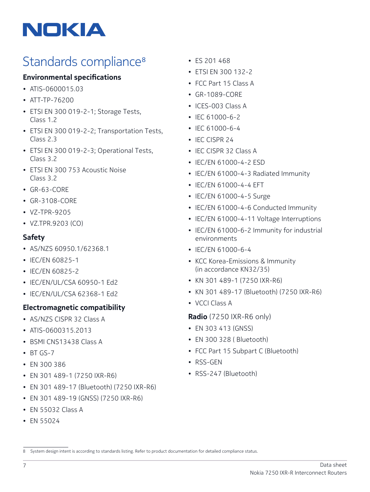# NOKIA

# Standards compliance<sup>8</sup>

#### **Environmental specifications**

- ATIS-0600015.03
- ATT-TP-76200
- ETSI EN 300 019-2-1; Storage Tests, Class 1.2
- ETSI EN 300 019-2-2; Transportation Tests, Class 2.3
- ETSI EN 300 019-2-3; Operational Tests, Class 3.2
- ETSI EN 300 753 Acoustic Noise Class 3.2
- GR-63-CORE
- GR-3108-CORE
- VZ-TPR-9205
- VZ.TPR.9203 (CO)

#### **Safety**

- AS/NZS 60950.1/62368.1
- IEC/EN 60825-1
- IEC/EN 60825-2
- IEC/EN/UL/CSA 60950-1 Ed2
- IEC/EN/UL/CSA 62368-1 Ed2

#### **Electromagnetic compatibility**

- AS/NZS CISPR 32 Class A
- ATIS-0600315.2013
- BSMI CNS13438 Class A
- $\cdot$  BT GS-7
- EN 300 386
- EN 301 489-1 (7250 IXR-R6)
- EN 301 489-17 (Bluetooth) (7250 IXR-R6)
- EN 301 489-19 (GNSS) (7250 IXR-R6)
- EN 55032 Class A
- EN 55024
- ES 201 468
- ETSI EN 300 132-2
- FCC Part 15 Class A
- GR-1089-CORE
- ICES-003 Class A
- IEC 61000-6-2
- IEC 61000-6-4
- IEC CISPR 24
- IEC CISPR 32 Class A
- IEC/EN 61000-4-2 ESD
- IEC/EN 61000-4-3 Radiated Immunity
- IEC/EN 61000-4-4 EFT
- IEC/EN 61000-4-5 Surge
- IEC/EN 61000-4-6 Conducted Immunity
- IEC/EN 61000-4-11 Voltage Interruptions
- IEC/EN 61000-6-2 Immunity for industrial environments
- IEC/EN 61000-6-4
- KCC Korea-Emissions & Immunity (in accordance KN32/35)
- KN 301 489-1 (7250 IXR-R6)
- KN 301 489-17 (Bluetooth) (7250 IXR-R6)
- VCCI Class A

**Radio** (7250 IXR-R6 only)

- EN 303 413 (GNSS)
- EN 300 328 ( Bluetooth)
- FCC Part 15 Subpart C (Bluetooth)
- RSS-GEN
- RSS-247 (Bluetooth)

<sup>8</sup> System design intent is according to standards listing. Refer to product documentation for detailed compliance status.